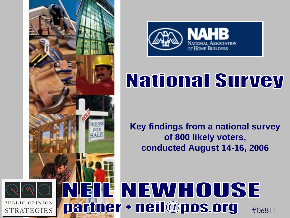



## **National Survey**

**Key findings from a national survey of 800 likely voters, conducted August 14-16, 2006**

### NEWHOUSE partner • neil@pos.org

#06811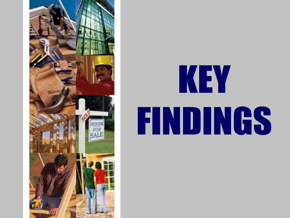

# KEY **FINDINGS**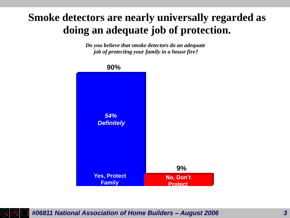#### **Smoke detectors are nearly universally regarded as doing an adequate job of protection.**

*Do you believe that smoke detectors do an adequate job of protecting your family in a house fire?*



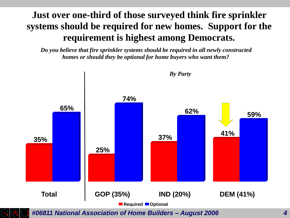#### **Just over one-third of those surveyed think fire sprinkler systems should be required for new homes. Support for the requirement is highest among Democrats.**

*Do you believe that fire sprinkler systems should be required in all newly constructed homes or should they be optional for home buyers who want them?*



*#06811 National Association of Home Builders – August 2006 4*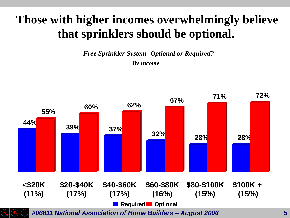#### **Those with higher incomes overwhelmingly believe that sprinklers should be optional.**

*Free Sprinkler System- Optional or Required? By Income*

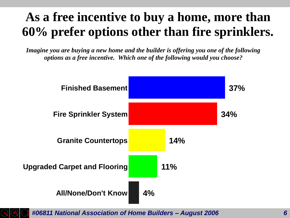#### **As a free incentive to buy a home, more than 60% prefer options other than fire sprinklers.**

*Imagine you are buying a new home and the builder is offering you one of the following options as a free incentive. Which one of the following would you choose?*





*#06811 National Association of Home Builders – August 2006 6*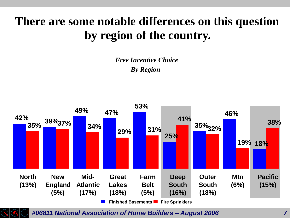#### **There are some notable differences on this question by region of the country.**

*Free Incentive Choice By Region*





*#06811 National Association of Home Builders – August 2006 7*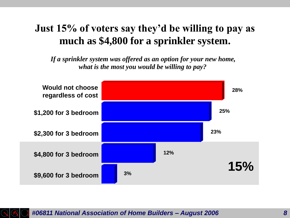#### **Just 15% of voters say they'd be willing to pay as much as \$4,800 for a sprinkler system.**

*If a sprinkler system was offered as an option for your new home, what is the most you would be willing to pay?*



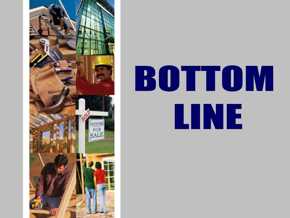

# BOTTOM **LINE**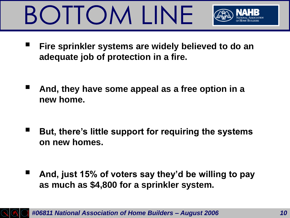# BOTTOM LINE



- **Fire sprinkler systems are widely believed to do an adequate job of protection in a fire.**
- And, they have some appeal as a free option in a **new home.**
- But, there's little support for requiring the systems **on new homes.**
- And, just 15% of voters say they'd be willing to pay **as much as \$4,800 for a sprinkler system.**